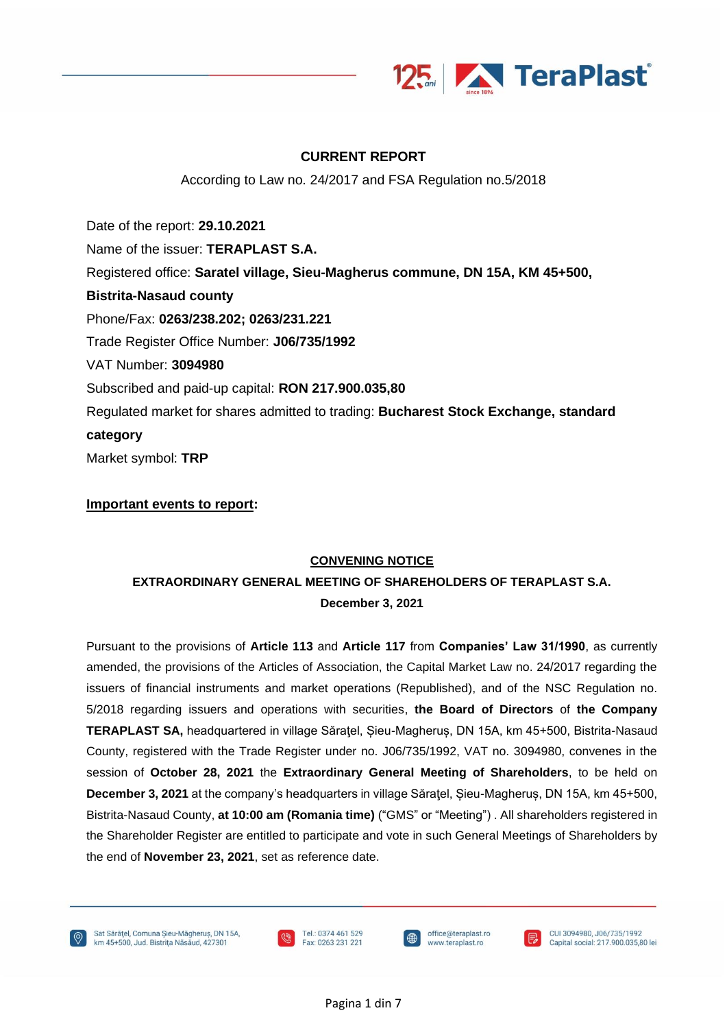

### **CURRENT REPORT**

According to Law no. 24/2017 and FSA Regulation no.5/2018

Date of the report: **29.10.2021** Name of the issuer: **TERAPLAST S.A.** Registered office: **Saratel village, Sieu-Magherus commune, DN 15A, KM 45+500, Bistrita-Nasaud county** Phone/Fax: **0263/238.202; 0263/231.221** Trade Register Office Number: **J06/735/1992** VAT Number: **3094980** Subscribed and paid-up capital: **RON 217.900.035,80** Regulated market for shares admitted to trading: **Bucharest Stock Exchange, standard category** Market symbol: **TRP**

**Important events to report:**

### **CONVENING NOTICE**

## **EXTRAORDINARY GENERAL MEETING OF SHAREHOLDERS OF TERAPLAST S.A. December 3, 2021**

Pursuant to the provisions of **Article 113** and **Article 117** from **Companies' Law 31/1990**, as currently amended, the provisions of the Articles of Association, the Capital Market Law no. 24/2017 regarding the issuers of financial instruments and market operations (Republished), and of the NSC Regulation no. 5/2018 regarding issuers and operations with securities, **the Board of Directors** of **the Company TERAPLAST SA,** headquartered in village Săraţel, Șieu-Magheruș, DN 15A, km 45+500, Bistrita-Nasaud County, registered with the Trade Register under no. J06/735/1992, VAT no. 3094980, convenes in the session of **October 28, 2021** the **Extraordinary General Meeting of Shareholders**, to be held on **December 3, 2021** at the company's headquarters in village Săraţel, Șieu-Magheruș, DN 15A, km 45+500, Bistrita-Nasaud County, **at 10:00 am (Romania time)** ("GMS" or "Meeting") . All shareholders registered in the Shareholder Register are entitled to participate and vote in such General Meetings of Shareholders by the end of **November 23, 2021**, set as reference date.





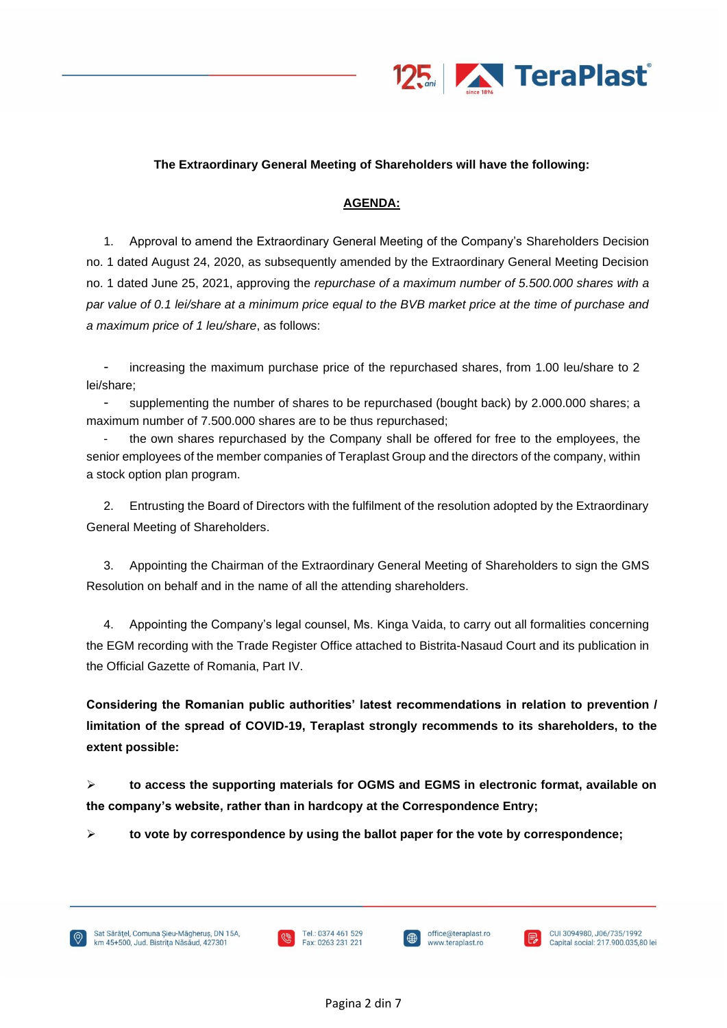

### **The Extraordinary General Meeting of Shareholders will have the following:**

#### **AGENDA:**

1. Approval to amend the Extraordinary General Meeting of the Company's Shareholders Decision no. 1 dated August 24, 2020, as subsequently amended by the Extraordinary General Meeting Decision no. 1 dated June 25, 2021, approving the *repurchase of a maximum number of 5.500.000 shares with a par value of 0.1 lei/share at a minimum price equal to the BVB market price at the time of purchase and a maximum price of 1 leu/share*, as follows:

increasing the maximum purchase price of the repurchased shares, from 1.00 leu/share to 2 lei/share;

supplementing the number of shares to be repurchased (bought back) by 2.000.000 shares; a maximum number of 7.500.000 shares are to be thus repurchased;

- the own shares repurchased by the Company shall be offered for free to the employees, the senior employees of the member companies of Teraplast Group and the directors of the company, within a stock option plan program.

2. Entrusting the Board of Directors with the fulfilment of the resolution adopted by the Extraordinary General Meeting of Shareholders.

3. Appointing the Chairman of the Extraordinary General Meeting of Shareholders to sign the GMS Resolution on behalf and in the name of all the attending shareholders.

4. Appointing the Company's legal counsel, Ms. Kinga Vaida, to carry out all formalities concerning the EGM recording with the Trade Register Office attached to Bistrita-Nasaud Court and its publication in the Official Gazette of Romania, Part IV.

**Considering the Romanian public authorities' latest recommendations in relation to prevention / limitation of the spread of COVID-19, Teraplast strongly recommends to its shareholders, to the extent possible:**

➢ **to access the supporting materials for OGMS and EGMS in electronic format, available on the company's website, rather than in hardcopy at the Correspondence Entry;**

➢ **to vote by correspondence by using the ballot paper for the vote by correspondence;**



j

office@teraplast.ro

www.teraplast.ro

CUI 3094980, J06/735/1992

Capital social: 217.900.035.80 lei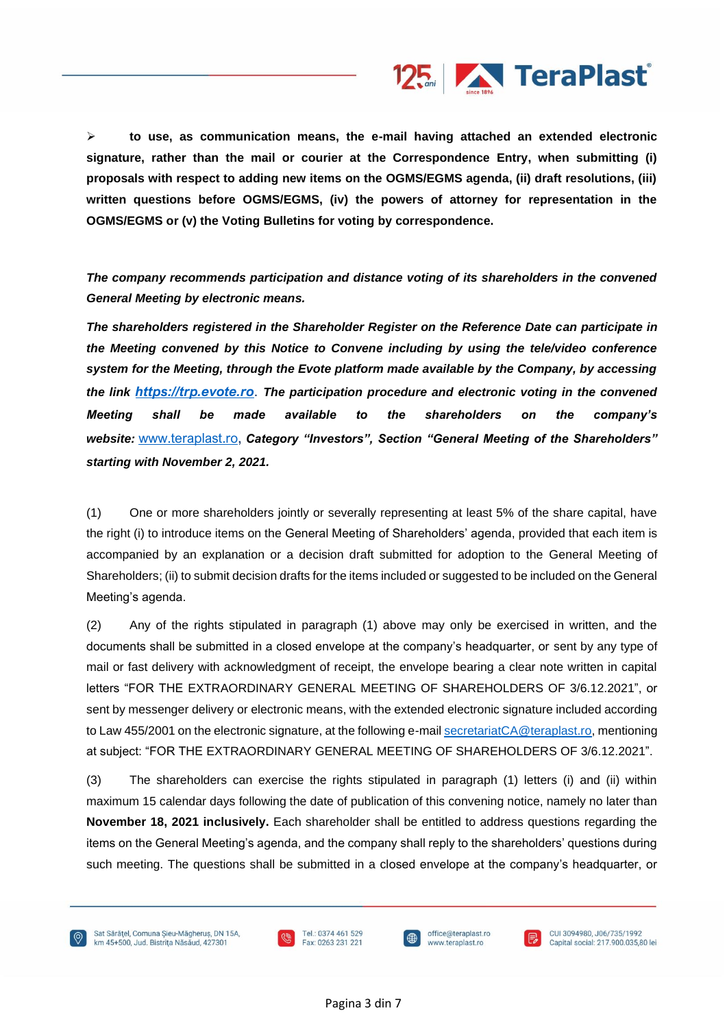

➢ **to use, as communication means, the e-mail having attached an extended electronic signature, rather than the mail or courier at the Correspondence Entry, when submitting (i) proposals with respect to adding new items on the OGMS/EGMS agenda, (ii) draft resolutions, (iii) written questions before OGMS/EGMS, (iv) the powers of attorney for representation in the OGMS/EGMS or (v) the Voting Bulletins for voting by correspondence.**

*The company recommends participation and distance voting of its shareholders in the convened General Meeting by electronic means.*

*The shareholders registered in the Shareholder Register on the Reference Date can participate in the Meeting convened by this Notice to Convene including by using the tele/video conference system for the Meeting, through the Evote platform made available by the Company, by accessing the link [https://trp.evote.ro](https://trp.evote.ro/)*. *The participation procedure and electronic voting in the convened Meeting shall be made available to the shareholders on the company's website:* [www.teraplast.ro](http://www.teraplast.ro/), *Category "Investors", Section "General Meeting of the Shareholders" starting with November 2, 2021.*

(1) One or more shareholders jointly or severally representing at least 5% of the share capital, have the right (i) to introduce items on the General Meeting of Shareholders' agenda, provided that each item is accompanied by an explanation or a decision draft submitted for adoption to the General Meeting of Shareholders; (ii) to submit decision drafts for the items included or suggested to be included on the General Meeting's agenda.

(2) Any of the rights stipulated in paragraph (1) above may only be exercised in written, and the documents shall be submitted in a closed envelope at the company's headquarter, or sent by any type of mail or fast delivery with acknowledgment of receipt, the envelope bearing a clear note written in capital letters "FOR THE EXTRAORDINARY GENERAL MEETING OF SHAREHOLDERS OF 3/6.12.2021", or sent by messenger delivery or electronic means, with the extended electronic signature included according to Law 455/2001 on the electronic signature, at the following e-mail [secretariatCA@teraplast.ro,](mailto:secretariatCA@teraplast.ro) mentioning at subject: "FOR THE EXTRAORDINARY GENERAL MEETING OF SHAREHOLDERS OF 3/6.12.2021".

(3) The shareholders can exercise the rights stipulated in paragraph (1) letters (i) and (ii) within maximum 15 calendar days following the date of publication of this convening notice, namely no later than **November 18, 2021 inclusively.** Each shareholder shall be entitled to address questions regarding the items on the General Meeting's agenda, and the company shall reply to the shareholders' questions during such meeting. The questions shall be submitted in a closed envelope at the company's headquarter, or



Sat Sărătel, Comuna Sieu-Măgherus, DN 15A. km 45+500, Jud. Bistrița Năsăud, 427301





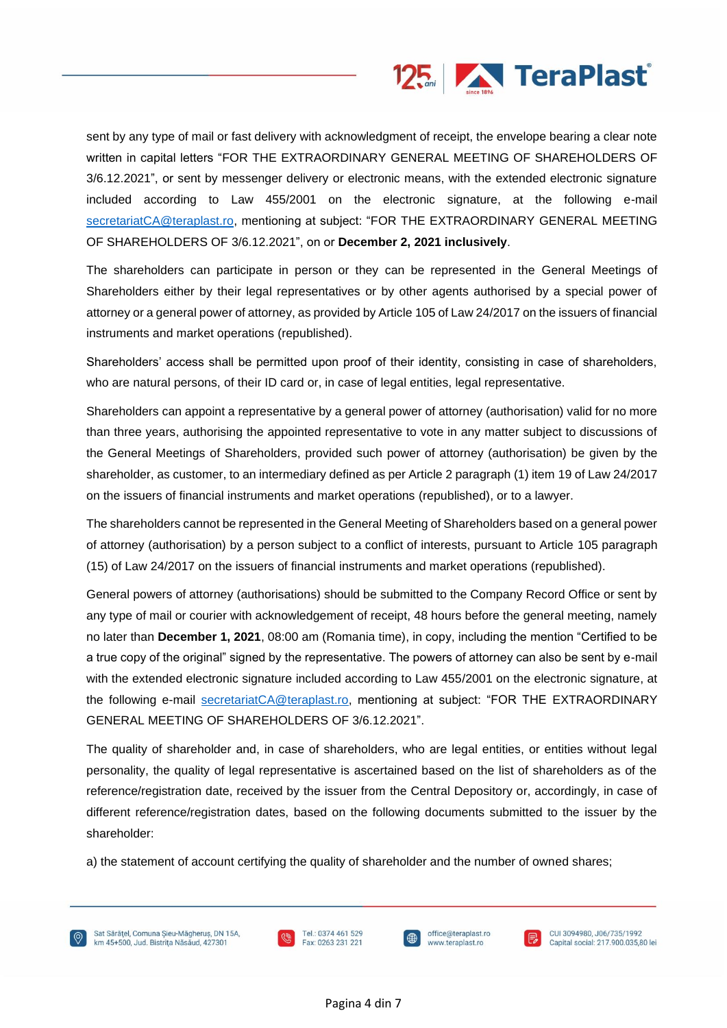

CUI 3094980, J06/735/1992

Capital social: 217.900.035.80 lei

sent by any type of mail or fast delivery with acknowledgment of receipt, the envelope bearing a clear note written in capital letters "FOR THE EXTRAORDINARY GENERAL MEETING OF SHAREHOLDERS OF 3/6.12.2021", or sent by messenger delivery or electronic means, with the extended electronic signature included according to Law 455/2001 on the electronic signature, at the following e-mail [secretariatCA@teraplast.ro,](mailto:secretariatCA@teraplast.ro) mentioning at subject: "FOR THE EXTRAORDINARY GENERAL MEETING OF SHAREHOLDERS OF 3/6.12.2021", on or **December 2, 2021 inclusively**.

The shareholders can participate in person or they can be represented in the General Meetings of Shareholders either by their legal representatives or by other agents authorised by a special power of attorney or a general power of attorney, as provided by Article 105 of Law 24/2017 on the issuers of financial instruments and market operations (republished).

Shareholders' access shall be permitted upon proof of their identity, consisting in case of shareholders, who are natural persons, of their ID card or, in case of legal entities, legal representative.

Shareholders can appoint a representative by a general power of attorney (authorisation) valid for no more than three years, authorising the appointed representative to vote in any matter subject to discussions of the General Meetings of Shareholders, provided such power of attorney (authorisation) be given by the shareholder, as customer, to an intermediary defined as per Article 2 paragraph (1) item 19 of Law 24/2017 on the issuers of financial instruments and market operations (republished), or to a lawyer.

The shareholders cannot be represented in the General Meeting of Shareholders based on a general power of attorney (authorisation) by a person subject to a conflict of interests, pursuant to Article 105 paragraph (15) of Law 24/2017 on the issuers of financial instruments and market operations (republished).

General powers of attorney (authorisations) should be submitted to the Company Record Office or sent by any type of mail or courier with acknowledgement of receipt, 48 hours before the general meeting, namely no later than **December 1, 2021**, 08:00 am (Romania time), in copy, including the mention "Certified to be a true copy of the original" signed by the representative. The powers of attorney can also be sent by e-mail with the extended electronic signature included according to Law 455/2001 on the electronic signature, at the following e-mail [secretariatCA@teraplast.ro,](mailto:secretariatCA@teraplast.ro) mentioning at subject: "FOR THE EXTRAORDINARY GENERAL MEETING OF SHAREHOLDERS OF 3/6.12.2021".

The quality of shareholder and, in case of shareholders, who are legal entities, or entities without legal personality, the quality of legal representative is ascertained based on the list of shareholders as of the reference/registration date, received by the issuer from the Central Depository or, accordingly, in case of different reference/registration dates, based on the following documents submitted to the issuer by the shareholder:

office@teraplast.ro

www.teraplast.ro

a) the statement of account certifying the quality of shareholder and the number of owned shares;

Tel.: 0374 461 529

Fax: 0263 231 221

j

Sat Sărătel, Comuna Sieu-Măgherus, DN 15A.

km 45+500, Jud. Bistrița Năsăud, 427301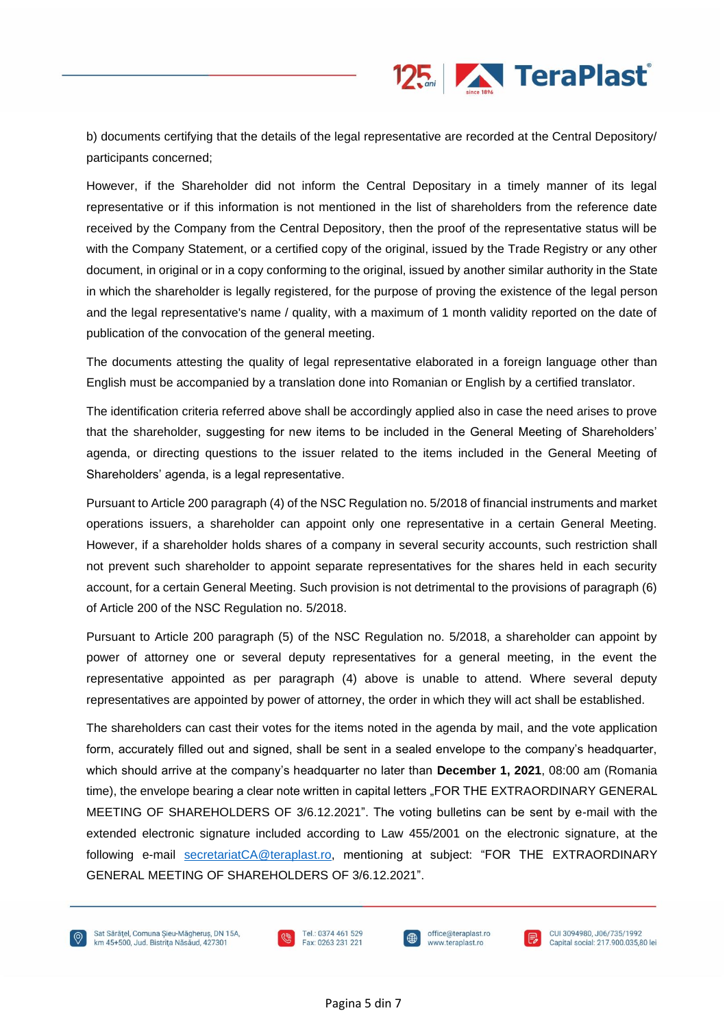

b) documents certifying that the details of the legal representative are recorded at the Central Depository/ participants concerned;

However, if the Shareholder did not inform the Central Depositary in a timely manner of its legal representative or if this information is not mentioned in the list of shareholders from the reference date received by the Company from the Central Depository, then the proof of the representative status will be with the Company Statement, or a certified copy of the original, issued by the Trade Registry or any other document, in original or in a copy conforming to the original, issued by another similar authority in the State in which the shareholder is legally registered, for the purpose of proving the existence of the legal person and the legal representative's name / quality, with a maximum of 1 month validity reported on the date of publication of the convocation of the general meeting.

The documents attesting the quality of legal representative elaborated in a foreign language other than English must be accompanied by a translation done into Romanian or English by a certified translator.

The identification criteria referred above shall be accordingly applied also in case the need arises to prove that the shareholder, suggesting for new items to be included in the General Meeting of Shareholders' agenda, or directing questions to the issuer related to the items included in the General Meeting of Shareholders' agenda, is a legal representative.

Pursuant to Article 200 paragraph (4) of the NSC Regulation no. 5/2018 of financial instruments and market operations issuers, a shareholder can appoint only one representative in a certain General Meeting. However, if a shareholder holds shares of a company in several security accounts, such restriction shall not prevent such shareholder to appoint separate representatives for the shares held in each security account, for a certain General Meeting. Such provision is not detrimental to the provisions of paragraph (6) of Article 200 of the NSC Regulation no. 5/2018.

Pursuant to Article 200 paragraph (5) of the NSC Regulation no. 5/2018, a shareholder can appoint by power of attorney one or several deputy representatives for a general meeting, in the event the representative appointed as per paragraph (4) above is unable to attend. Where several deputy representatives are appointed by power of attorney, the order in which they will act shall be established.

The shareholders can cast their votes for the items noted in the agenda by mail, and the vote application form, accurately filled out and signed, shall be sent in a sealed envelope to the company's headquarter, which should arrive at the company's headquarter no later than **December 1, 2021**, 08:00 am (Romania time), the envelope bearing a clear note written in capital letters "FOR THE EXTRAORDINARY GENERAL MEETING OF SHAREHOLDERS OF 3/6.12.2021". The voting bulletins can be sent by e-mail with the extended electronic signature included according to Law 455/2001 on the electronic signature, at the following e-mail [secretariatCA@teraplast.ro,](mailto:secretariatCA@teraplast.ro) mentioning at subject: "FOR THE EXTRAORDINARY GENERAL MEETING OF SHAREHOLDERS OF 3/6.12.2021".



Sat Sărătel, Comuna Sieu-Măgherus, DN 15A. km 45+500, Jud. Bistrița Năsăud, 427301





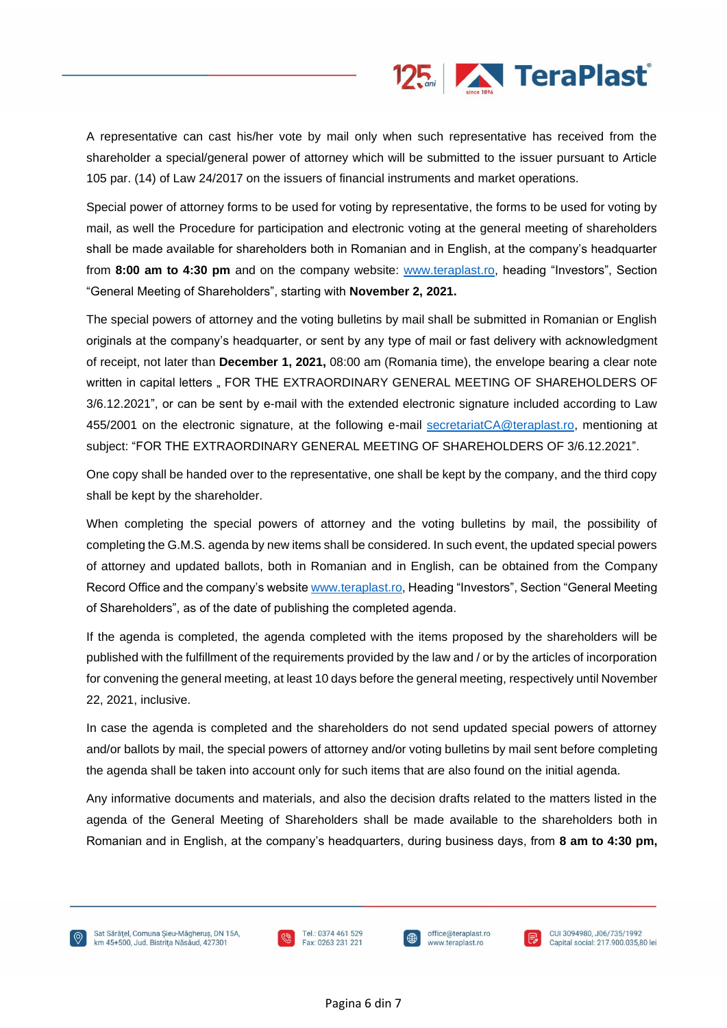

A representative can cast his/her vote by mail only when such representative has received from the shareholder a special/general power of attorney which will be submitted to the issuer pursuant to Article 105 par. (14) of Law 24/2017 on the issuers of financial instruments and market operations.

Special power of attorney forms to be used for voting by representative, the forms to be used for voting by mail, as well the Procedure for participation and electronic voting at the general meeting of shareholders shall be made available for shareholders both in Romanian and in English, at the company's headquarter from **8:00 am to 4:30 pm** and on the company website: [www.teraplast.ro,](http://www.teraplast.ro/) heading "Investors", Section "General Meeting of Shareholders", starting with **November 2, 2021.**

The special powers of attorney and the voting bulletins by mail shall be submitted in Romanian or English originals at the company's headquarter, or sent by any type of mail or fast delivery with acknowledgment of receipt, not later than **December 1, 2021,** 08:00 am (Romania time), the envelope bearing a clear note written in capital letters .. FOR THE EXTRAORDINARY GENERAL MEETING OF SHAREHOLDERS OF 3/6.12.2021", or can be sent by e-mail with the extended electronic signature included according to Law 455/2001 on the electronic signature, at the following e-mail [secretariatCA@teraplast.ro,](mailto:secretariatCA@teraplast.ro) mentioning at subject: "FOR THE EXTRAORDINARY GENERAL MEETING OF SHAREHOLDERS OF 3/6.12.2021".

One copy shall be handed over to the representative, one shall be kept by the company, and the third copy shall be kept by the shareholder.

When completing the special powers of attorney and the voting bulletins by mail, the possibility of completing the G.M.S. agenda by new items shall be considered. In such event, the updated special powers of attorney and updated ballots, both in Romanian and in English, can be obtained from the Company Record Office and the company's website [www.teraplast.ro,](http://www.teraplast.ro/) Heading "Investors", Section "General Meeting of Shareholders", as of the date of publishing the completed agenda.

If the agenda is completed, the agenda completed with the items proposed by the shareholders will be published with the fulfillment of the requirements provided by the law and / or by the articles of incorporation for convening the general meeting, at least 10 days before the general meeting, respectively until November 22, 2021, inclusive.

In case the agenda is completed and the shareholders do not send updated special powers of attorney and/or ballots by mail, the special powers of attorney and/or voting bulletins by mail sent before completing the agenda shall be taken into account only for such items that are also found on the initial agenda.

Any informative documents and materials, and also the decision drafts related to the matters listed in the agenda of the General Meeting of Shareholders shall be made available to the shareholders both in Romanian and in English, at the company's headquarters, during business days, from **8 am to 4:30 pm,**

Sat Sărătel, Comuna Sieu-Măgherus, DN 15A. km 45+500, Jud. Bistrița Năsăud, 427301